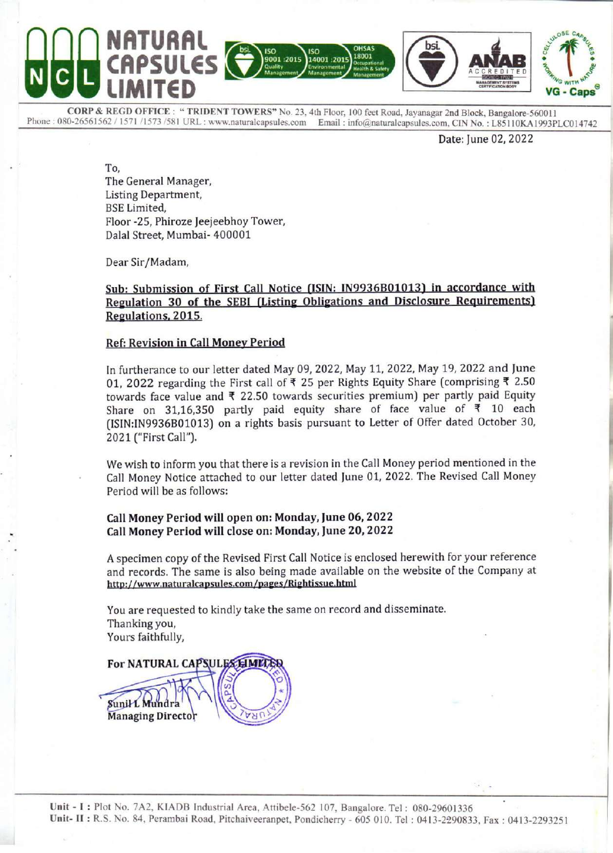

CORP & REGD OFFICE: "TRIDENT TOWERS" No. 23, 4th Floor, 100 feet Road, Jayanagar 2nd Block, Bangalore-560011<br>Phone: 080-26561562/1571/1573/581 URL: www.naturalcapsules.com Email: info@naturalcapsules.com, CIN No.: L85110KA

Date: June 02, 2022

L

To, The General Manager, Listing Department, BSE Limited, Floor -25, Phiroze Jeejeebhoy Tower, Dalal Street, Mumbai- 400001

Dear Sir/Madam,

#### Sub: Submission of First Call Notice (ISIN: IN9936B01013) in accordance with Regulation 30 of the SEBI (Listing Obligations and Disclosure Requirements) Regulations, 2015.

#### Ref: Revision in Call Money Period

In furtherance to our letter dated May 09, 2022, May 11, 2022, May 19, 2022 and June 01, 2022 regarding the First call of ₹ 25 per Rights Equity Share (comprising ₹ 2.50 towards face value and  $\overline{\tau}$  22.50 towards securities premium) per partly paid Equity Share on 31,16,350 partly paid equity share of face value of  $\overline{5}$  10 each (ISIN:IN9936B01013) on a rights basis pursuant to Letter of Offer dated October 30, 2021 ("First Call"). BS Limited,<br>
Floor-25, Phiroze Jeejeebhoy Tower,<br>
Floor-25, Phiroze Jeejeebhoy Tower,<br>
Dalal Street, Mumbai-400001<br>
Dear Sir/Madam,<br>
Sub: Submission of First Call Notice (<br>
Regulations. 2015.<br>
Ref. Revision in Call Money

We wish to inform you that there is a revision in the Call Money period mentioned in the Call Money Notice attached to our letter dated June 01, 2022. The Revised Call Money Period will be as follows:

#### Call Money Period will open on: Monday, June 06, 2022 Call Money Period will close on: Monday, June 20, 2022

A specimen copy of the Revised First Call Notice is enclosed herewith for your reference and records. The same is also being made available on the website of the Company at http://www.naturalcapsules.com/pages/Rightissue.html

You are requested to kindly take the same on record and disseminate. Thanking you, Yours faithfully,

For NATURAL CA<br>
Sunil L Mundra<br>
Managing Director<br>
Plot No. 7A2, KIADB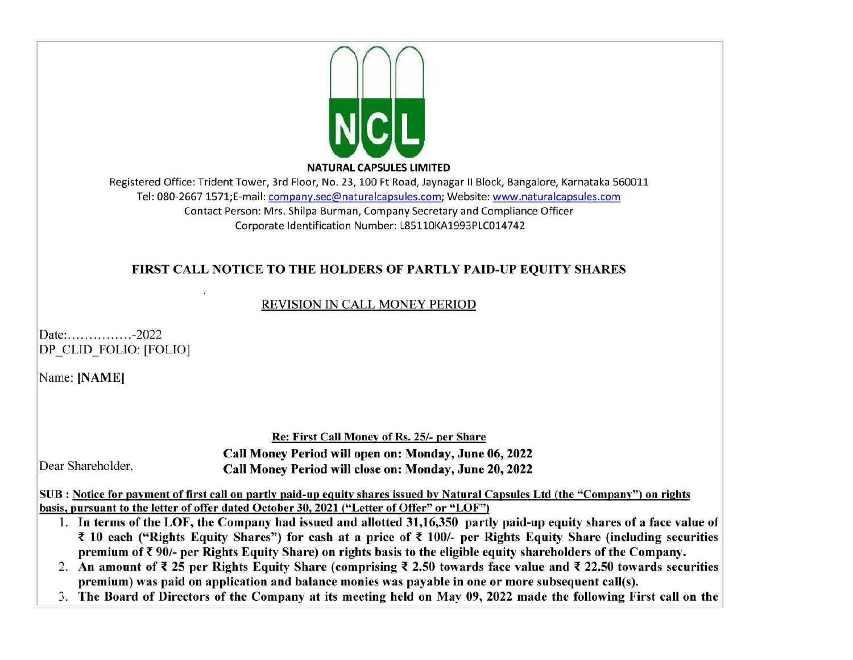

NATURAL CAPSULES LIMITED

Registered Office: Trident Tower, 3rd Floor, No. 23, 100 Ft Road, Jaynagar II Block, Bangalore, Karnataka 560011 Tel: 080-2667 1571;E-mail: company.sec@naturalcapsules.com; Website: www.naturalcapsules.com Contact Person: Mrs. Shilpa Burman, Company Secretary and Compliance Officer Corporate Identification Number: L85110KA1993PLC014742

# FIRST CALL NOTICE TO THE HOLDERS OF PARTLY PAID-UP EQUITY SHARES

## REVISION IN CALL MONEY PERIOD

Date: . . . . . . . . . . . . . . . -2022 DP CLID FOLIO: [FOLIO]

Name: [NAME]

Re: First Call Money of Rs. 25/- per Share Call Money Period will open on: Monday, June 06, 2022 Dear Shareholder, Call Money Period will close on: Monday, June 20, 2022

SUB : Notice for payment of first call on partly paid-up equity shares issued by Natural Capsules Ltd (the "Company" ) on rights basis, pursuant to the letter of offer dated October 30, 2021 ("Letter of Offer" or "LOF")

- 1. In terms of the LOF, the Company had issued and allotted 31,16,350 partly paid-up equity shares of a face value of  $\bar{\tau}$  10 each ("Rights Equity Shares") for cash at a price of  $\bar{\tau}$  100/- per Rights Equity Share (including securities premium of ¥ 90/- per Rights Equity Share) on rights basis to the eligible equity shareholders of the Company.
- 2. An amount of  $\bar{\tau}$  25 per Rights Equity Share (comprising  $\bar{\tau}$  2.50 towards face value and  $\bar{\tau}$  22.50 towards securities premium) was paid on application and balance monies was payable in one or more subsequent call(s).
- 3. The Board of Directors of the Company at its meeting held on May 09, 2022 made the following First call on the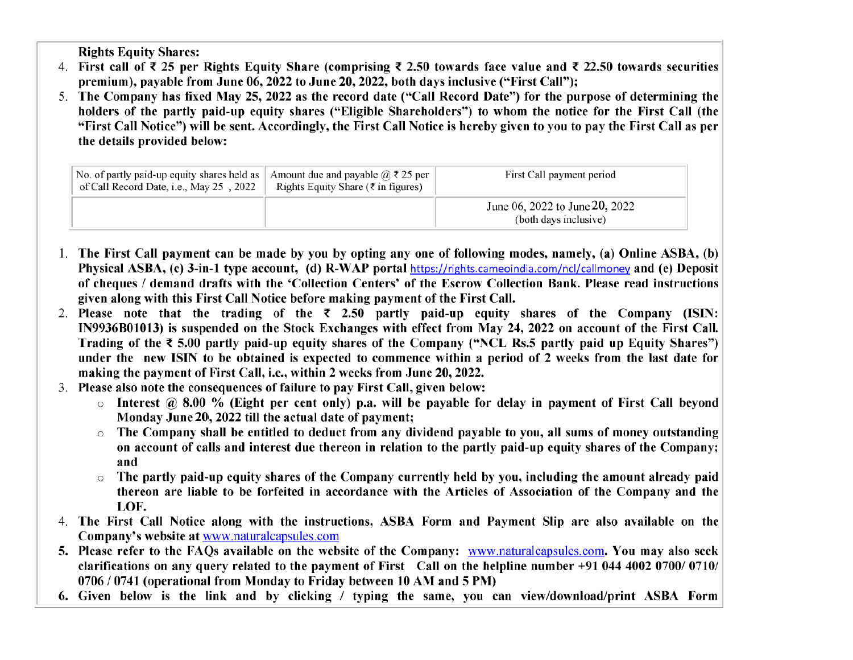Rights Equity Shares:

- 4. First call of  $\bar{\tau}$  25 per Rights Equity Share (comprising  $\bar{\tau}$  2.50 towards face value and  $\bar{\tau}$  22.50 towards securities premium), payable from June 06, 2022 to June 20, 2022, both days inclusive ("First Call");
- The Company has fixed May 25, 2022 as the record date ("Call Record Date") for the purpose of determining the holders of the partly paid-up equity shares ("Eligible Shareholders") to whom the notice for the First Call (the "First Call Notice") will be sent. Accordingly, the First Call Notice is hereby given to you to pay the First Call as per the details provided below:

| The Company has fixed May 25, 2022 as the record date ("Call Record Date") for the purpose of determin<br>holders of the partly paid-up equity shares ("Eligible Shareholders") to whom the notice for the First C<br>"First Call Notice") will be sent. Accordingly, the First Call Notice is hereby given to you to pay the First Cal<br>the details provided below: |                                                                                              |                                                         |  |
|------------------------------------------------------------------------------------------------------------------------------------------------------------------------------------------------------------------------------------------------------------------------------------------------------------------------------------------------------------------------|----------------------------------------------------------------------------------------------|---------------------------------------------------------|--|
| No. of partly paid-up equity shares held as<br>of Call Record Date, i.e., May 25, 2022                                                                                                                                                                                                                                                                                 | Amount due and payable $\omega \ge 25$ per<br>Rights Equity Share ( $\bar{\tau}$ in figures) | First Call payment period                               |  |
|                                                                                                                                                                                                                                                                                                                                                                        |                                                                                              | June 06, 2022 to June 20, 2022<br>(both days inclusive) |  |

- The First Call payment can be made by you by opting any one of following modes, namely, (a) Online ASBA, (b) Physical ASBA, (c) 3-in-1 type account, (d) R-WAP portal https://rights.cameoindia.com/ncl/callmoney and (e) Deposit of cheques / demand drafts with the 'Collection Centers' of the Escrow Collection Bank. Please read instructions given along with this First Call Notice before making payment of the First Call.
- 2. Please note that the trading of the  $\bar{\tau}$  2.50 partly paid-up equity shares of the Company (ISIN: IN9936B01013) is suspended on the Stock Exchanges with effect from May 24, 2022 on account of the First Call. Trading of the  $\bar{\tau}$  5.00 partly paid-up equity shares of the Company ("NCL Rs.5 partly paid up Equity Shares") under the new ISIN to be obtained is expected to commence within a period of 2 weeks from the last date for making the payment of First Call, i.e., within 2 weeks from June 20, 2022. ow Conection Bank. Field<br>irst Call.<br>In May 24, 2022 on accourance of the<br>("NCL Rs.5 partly paid<br>1 a period of 2 weeks fr<br>22.<br>we:<br>for delay in payment of<br>ayable to you, all sums of<br>artly paid-up equity shald by you, includi
- Please also note the consequences of failure to pay First Call, given below:
	- $\circ$  Interest @ 8.00 % (Eight per cent only) p.a. will be payable for delay in payment of First Call beyond Monday June 20, 2022 till the actual date of payment;
	- o The Company shall be entitled to deduct from any dividend payable to you, all sums of money outstanding on account of calls and interest due thereon in relation to the partly paid-up equity shares of the Company; and
	- The partly paid-up equity shares of the Company currently held by you, including the amount already paid thereon are liable to be forfeited in accordance with the Articles of Association of the Company and the LOF.  $\frac{1}{2}$ , 2022 till the entit<br>shall be entit<br>alls and inte<br>l-up equity s<br>ble to be for<br>e along with<br>www.natural
- The First Call Notice along with the instructions, ASBA Form and Payment Slip are also available on the Company's website at www.naturalcapsules.com
- 5. Please refer to the FAQs available on the website of the Company: www.naturalcapsules.com. You may also seek clarifications on any query related to the payment of First Call on the helpline number +91 044 4002 0700/ 0710/ 0706 / 0741 (operational from Monday to Friday between 10 AM and 5 PM)
- . Given below is the link and by clicking / typing the same, you can view/download/print ASBA Form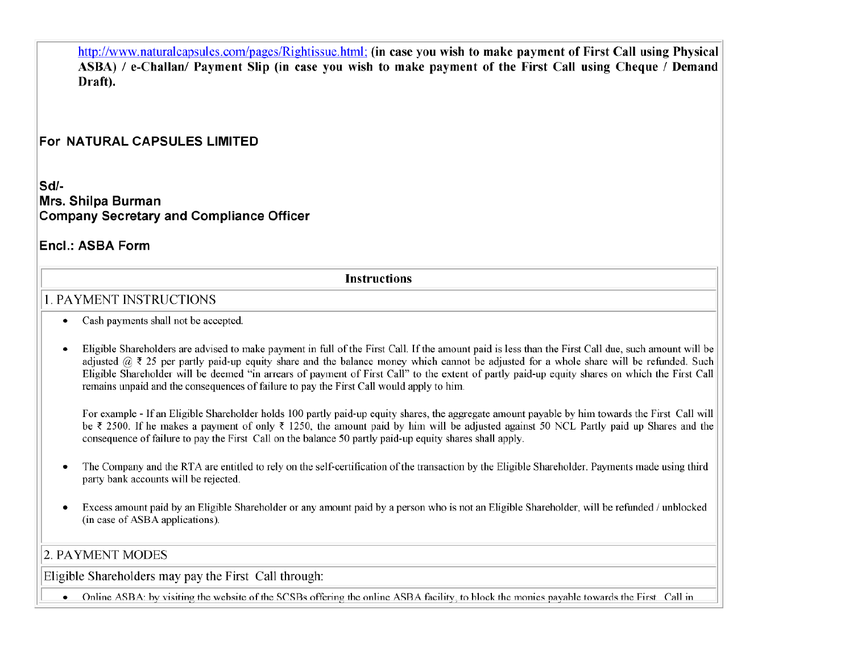http://www.naturalcapsules.com/pages/Rightissue.html; (in case you wish to make payment of First Call using Physical ASBA) / e-Challan/ Payment Slip (in case you wish to make payment of the First Call using Cheque / Demand Draft). http://www.naturalcapsules.

## For NATURAL CAPSULES LIMITED

Sd/- Mrs. Shilpa Burman Company Secretary and Compliance Officer

## Encl.: ASBA Form

Instructions

## 1. PAYMENT INSTRUCTIONS

- e Cash payments shall not be accepted.
- e Eligible Shareholders are advised to make payment in full of the First Call. If the amount paid is less than the First Call due, such amount will be adjusted  $@ \t3$  25 per partly paid-up equity share and the balance money which cannot be adjusted for a whole share will be refunded. Such Eligible Shareholder will be deemed "in arrears of payment of First Call" to the extent of partly paid-up equity shares on which the First Call remains unpaid and the consequences of failure to pay the First Call would apply to him.

For example - If an Eligible Shareholder holds 100 partly paid-up equity shares, the aggregate amount payable by him towards the First Call will be  $\bar{\tau}$  2500. If he makes a payment of only  $\bar{\tau}$  1250, the amount paid by him will be adjusted against 50 NCL Partly paid up Shares and the consequence of failure to pay the First Call on the balance 50 partly paid-up equity shares shall apply.

- e The Company and the RTA are entitled to rely on the self-certification of the transaction by the Eligible Shareholder. Payments made using third party bank accounts will be rejected.
- e Excess amount paid by an Eligible Shareholder or any amount paid by a person who 1s not an Eligible Shareholder, will be refunded / unblocked (in case of ASBA applications).

## 2. PAYMENT MODES

Eligible Shareholders may pay the First Call through:

Online ASBA: by visiting the website of the SCSBs offering the online ASBA facility, to block the monies payable towards the First Call in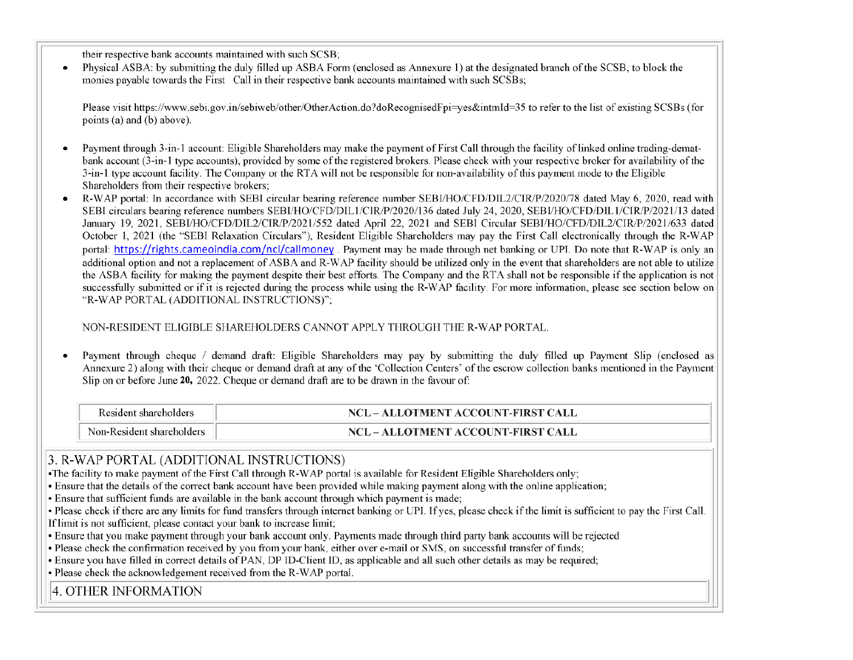their respective bank accounts maintained with such SCSB;

e Physical ASBA: by submitting the duly filled up ASBA Form (enclosed as Annexure 1) at the designated branch of the SCSB, to block the monies payable towards the First Call in their respective bank accounts maintained with such SCSBs;

Please visit https://www.sebi.gov.in/sebiweb/other/OtherAction.do?doRecognisedF pi=yes&intmId=35 to refer to the list of existing SCSBs (for points (a) and (b) above).

- Payment through 3-in-1 account: Eligible Shareholders may make the payment of First Call through the facility of linked online trading-dematbank account (3-in-1 type accounts), provided by some of the registered brokers. Please check with your respective broker for availability of the 3-in-1 type account facility. The Company or the RTA will not be responsible for non-availability of this payment mode to the Eligible Shareholders from their respective brokers;
- e R-WAP portal: In accordance with SEBI circular bearing reference number SEBJ/HO/CFD/DIL2/CIR/P/2020/78 dated May 6, 2020, read with SEBI circulars bearing reference numbers SEBI/HO/CFD/DIL1/CIR/P/2020/136 dated July 24, 2020, SEBI/HO/CFD/DIL1/CIR/P/2021/13 dated January 19, 2021, SEBI/HO/CFD/DIL2/CIR/P/2021/552 dated April 22, 2021 and SEBI Circular SEBI/HO/CFD/DIL2/CIR/P/2021/633 dated October 1, 2021 (the "SEBI Relaxation Circulars"), Resident Eligible Shareholders may pay the First Call electronically through the R-WAP portal: https://rights.cameoindia.com/ncl/callmoney . Payment may be made through net banking or UPI. Do note that R-WAP is only an additional option and not a replacement of ASBA and R-WAP facility should be utilized only in the event that shareholders are not able to utilize the ASBA facility for making the payment despite their best efforts. The Company and the RTA shall not be responsible if the application is not successfully submitted or if it is rejected during the process while using the R-WAP facility. For more information, please see section below on "R-WAP PORTAL (ADDITIONAL INSTRUCTIONS)";

NON-RESIDENT ELIGIBLE SHAREHOLDERS CANNOT APPLY THROUGH THE R-WAP PORTAL.

e Payment through cheque / demand draft: Eligible Shareholders may pay by submitting the duly filled up Payment Slip (enclosed as Annexure 2) along with their cheque or demand draft at any of the 'Collection Centers' of the escrow collection banks mentioned in the Payment Slip on or before June 20, 2022. Cheque or demand draft are to be drawn in the favour of:

| Resident shareholders     | NCL – ALLOTMENT ACCOUNT-FIRST CALL |
|---------------------------|------------------------------------|
| Non-Resident shareholders | NCL – ALLOTMENT ACCOUNT-FIRST CALL |

## 3. R-WAP PORTAL (ADDITIONAL INSTRUCTIONS)

\*The facility to make payment of the First Call through R-WAP portal is available for Resident Eligible Shareholders only;

¢ Ensure that the details of the correct bank account have been provided while making payment along with the online application;

¢ Ensure that sufficient funds are available in the bank account through which payment is made;

¢ Please check if there are any limits for fund transfers through internet banking or UPI. If yes, please check if the limit is sufficient to pay the First Call.

If limit is not sufficient, please contact your bank to increase limit;

¢ Ensure that you make payment through your bank account only. Payments made through third party bank accounts will be rejected

¢ Please check the confirmation received by you from your bank, either over e-mail or SMS, on successful transfer of funds;

¢ Ensure you have filled in correct details of PAN, DP ID-Client ID, as applicable and all such other details as may be required;

¢ Please check the acknowledgement received from the R-WAP portal.

4. OTHER INFORMATION